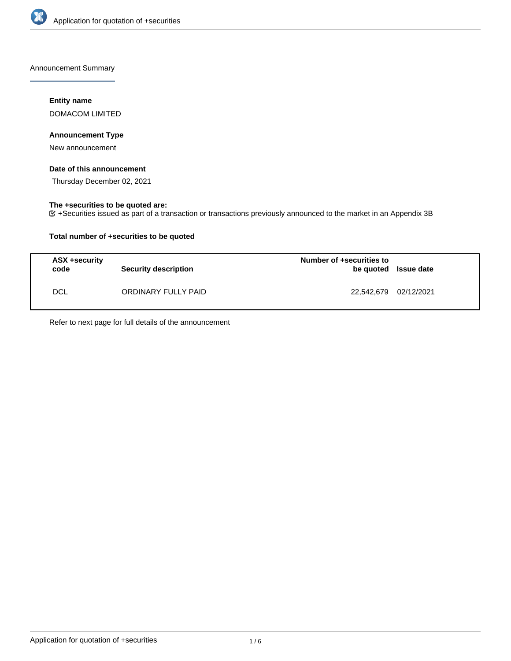

Announcement Summary

## **Entity name**

DOMACOM LIMITED

## **Announcement Type**

New announcement

## **Date of this announcement**

Thursday December 02, 2021

## **The +securities to be quoted are:**

+Securities issued as part of a transaction or transactions previously announced to the market in an Appendix 3B

## **Total number of +securities to be quoted**

| ASX +security<br>code | <b>Security description</b> | Number of +securities to<br>be quoted Issue date |  |
|-----------------------|-----------------------------|--------------------------------------------------|--|
| <b>DCL</b>            | ORDINARY FULLY PAID         | 22,542,679 02/12/2021                            |  |

Refer to next page for full details of the announcement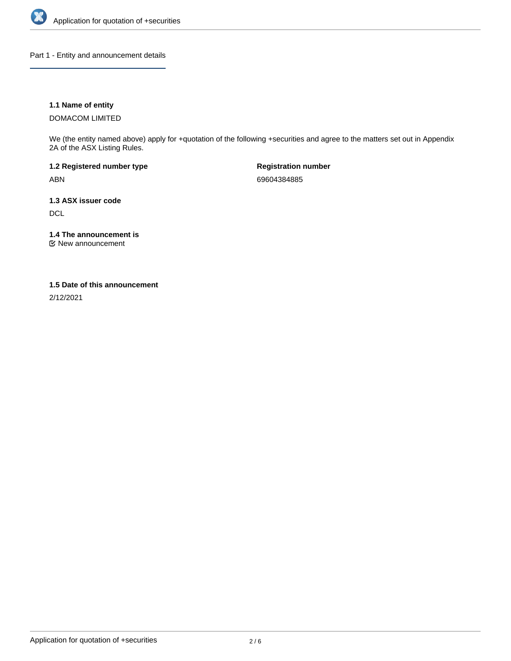

Part 1 - Entity and announcement details

## **1.1 Name of entity**

DOMACOM LIMITED

We (the entity named above) apply for +quotation of the following +securities and agree to the matters set out in Appendix 2A of the ASX Listing Rules.

**1.2 Registered number type** ABN

**Registration number** 69604384885

**1.3 ASX issuer code DCL** 

**1.4 The announcement is**

New announcement

## **1.5 Date of this announcement**

2/12/2021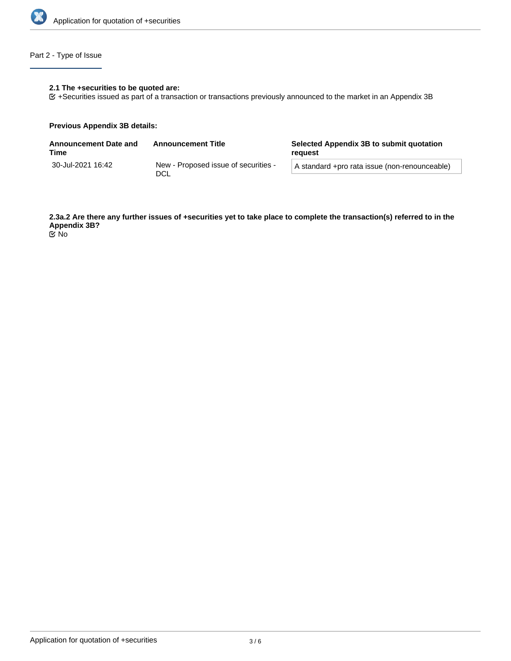

## Part 2 - Type of Issue

## **2.1 The +securities to be quoted are:**

+Securities issued as part of a transaction or transactions previously announced to the market in an Appendix 3B

#### **Previous Appendix 3B details:**

| <b>Announcement Date and</b><br>Time | <b>Announcement Title</b>                   | Selected Appendix 3B to submit quotation<br>reguest |  |
|--------------------------------------|---------------------------------------------|-----------------------------------------------------|--|
| 30-Jul-2021 16:42                    | New - Proposed issue of securities -<br>DCL | A standard +pro rata issue (non-renounceable)       |  |

**2.3a.2 Are there any further issues of +securities yet to take place to complete the transaction(s) referred to in the Appendix 3B?** No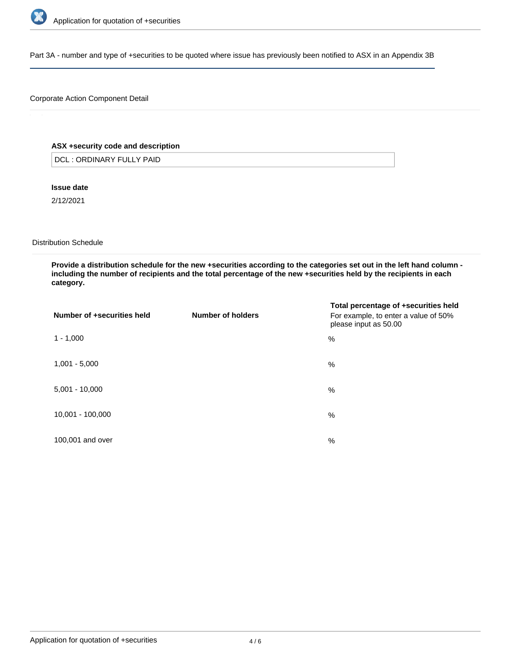

Part 3A - number and type of +securities to be quoted where issue has previously been notified to ASX in an Appendix 3B

## Corporate Action Component Detail

## **ASX +security code and description**

DCL : ORDINARY FULLY PAID

**Issue date**

2/12/2021

Distribution Schedule

**Provide a distribution schedule for the new +securities according to the categories set out in the left hand column including the number of recipients and the total percentage of the new +securities held by the recipients in each category.**

| Number of +securities held | Number of holders | Total percentage of +securities held<br>For example, to enter a value of 50%<br>please input as 50.00 |
|----------------------------|-------------------|-------------------------------------------------------------------------------------------------------|
| $1 - 1,000$                |                   | %                                                                                                     |
| $1,001 - 5,000$            |                   | %                                                                                                     |
| $5,001 - 10,000$           |                   | %                                                                                                     |
| 10,001 - 100,000           |                   | %                                                                                                     |
| 100,001 and over           |                   | $\%$                                                                                                  |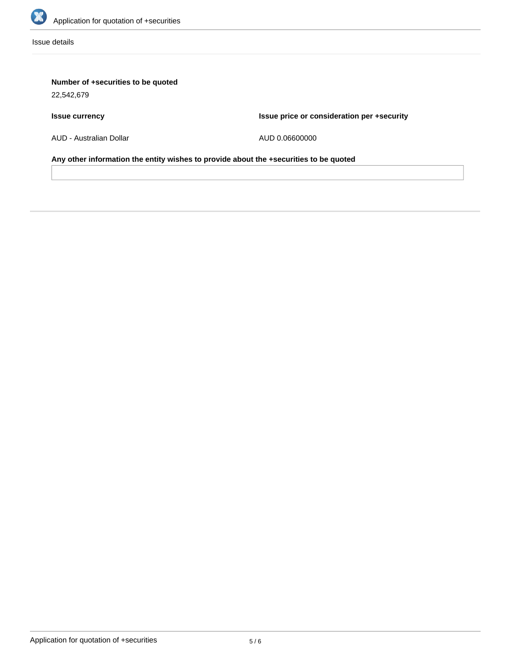

Issue details

# **Number of +securities to be quoted**

22,542,679

# **Issue currency**

**Issue price or consideration per +security**

AUD - Australian Dollar

AUD 0.06600000

**Any other information the entity wishes to provide about the +securities to be quoted**